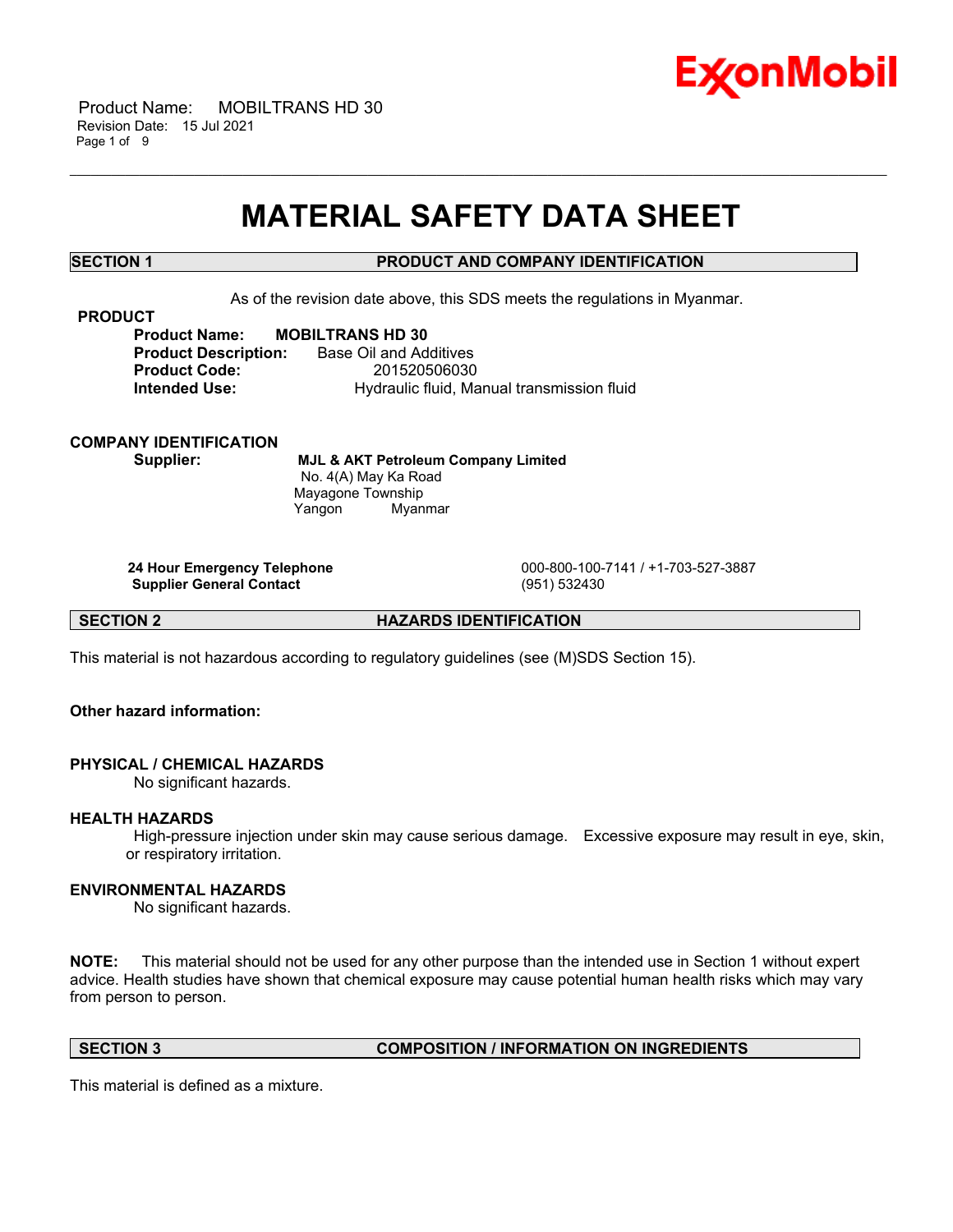

 Product Name: MOBILTRANS HD 30 Revision Date: 15 Jul 2021 Page 1 of 9

# **MATERIAL SAFETY DATA SHEET**

\_\_\_\_\_\_\_\_\_\_\_\_\_\_\_\_\_\_\_\_\_\_\_\_\_\_\_\_\_\_\_\_\_\_\_\_\_\_\_\_\_\_\_\_\_\_\_\_\_\_\_\_\_\_\_\_\_\_\_\_\_\_\_\_\_\_\_\_\_\_\_\_\_\_\_\_\_\_\_\_\_\_\_\_\_\_\_\_\_\_\_\_\_\_\_\_\_\_\_\_\_\_\_\_\_\_\_\_\_\_\_\_\_\_\_\_\_\_

# **SECTION 1 PRODUCT AND COMPANY IDENTIFICATION**

As of the revision date above, this SDS meets the regulations in Myanmar.

**PRODUCT**

**Product Name: MOBILTRANS HD 30 Product Description:** Base Oil and Additives **Product Code:** 201520506030 **Intended Use: Hydraulic fluid, Manual transmission fluid** 

**COMPANY IDENTIFICATION**

**Supplier: MJL & AKT Petroleum Company Limited** No. 4(A) May Ka Road Mayagone Township Yangon Myanmar

**Supplier General Contact** (951) 532430

**24 Hour Emergency Telephone** 000-800-100-7141 / +1-703-527-3887

**SECTION 2 HAZARDS IDENTIFICATION**

This material is not hazardous according to regulatory guidelines (see (M)SDS Section 15).

**Other hazard information:**

#### **PHYSICAL / CHEMICAL HAZARDS**

No significant hazards.

#### **HEALTH HAZARDS**

High-pressure injection under skin may cause serious damage. Excessive exposure may result in eye, skin, or respiratory irritation.

# **ENVIRONMENTAL HAZARDS**

No significant hazards.

**NOTE:** This material should not be used for any other purpose than the intended use in Section 1 without expert advice. Health studies have shown that chemical exposure may cause potential human health risks which may vary from person to person.

# **SECTION 3 COMPOSITION / INFORMATION ON INGREDIENTS**

This material is defined as a mixture.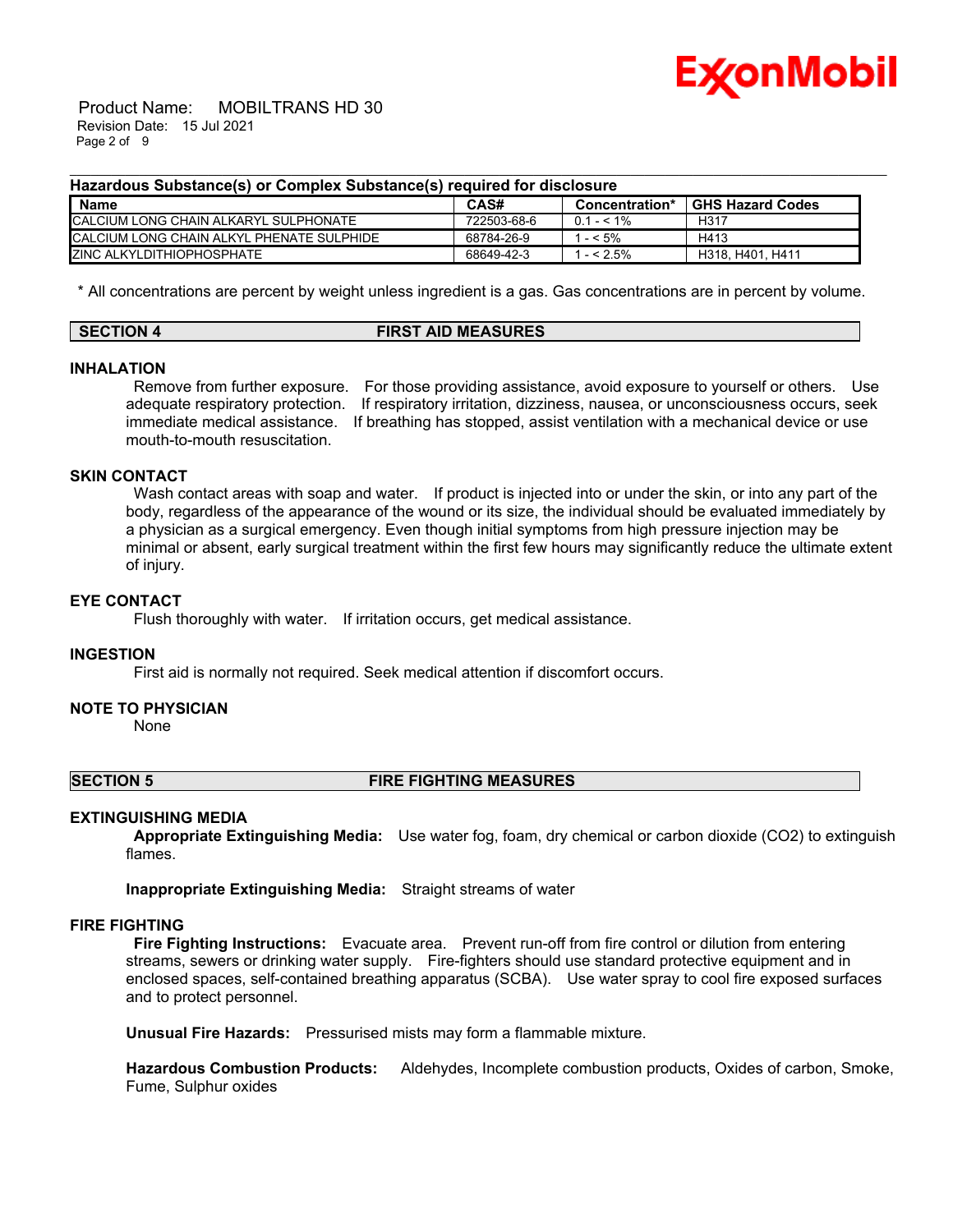

 Product Name: MOBILTRANS HD 30 Revision Date: 15 Jul 2021 Page 2 of 9

#### **Hazardous Substance(s) or Complex Substance(s) required for disclosure**

| <b>Name</b>                                       | CAS#        | Concentration* | GHS Hazard Codes |
|---------------------------------------------------|-------------|----------------|------------------|
| ICALCIUM LONG CHAIN ALKARYL SULPHONATE            | 722503-68-6 | $0.1 - 5.1\%$  | H <sub>317</sub> |
| <b>ICALCIUM LONG CHAIN ALKYL PHENATE SULPHIDE</b> | 68784-26-9  | $-5\%$         | H413             |
| <b>ZINC ALKYLDITHIOPHOSPHATE</b>                  | 68649-42-3  | $- < 2.5\%$    | H318, H401, H411 |

\_\_\_\_\_\_\_\_\_\_\_\_\_\_\_\_\_\_\_\_\_\_\_\_\_\_\_\_\_\_\_\_\_\_\_\_\_\_\_\_\_\_\_\_\_\_\_\_\_\_\_\_\_\_\_\_\_\_\_\_\_\_\_\_\_\_\_\_\_\_\_\_\_\_\_\_\_\_\_\_\_\_\_\_\_\_\_\_\_\_\_\_\_\_\_\_\_\_\_\_\_\_\_\_\_\_\_\_\_\_\_\_\_\_\_\_\_\_

\* All concentrations are percent by weight unless ingredient is a gas. Gas concentrations are in percent by volume.

| <b>SECTION 4</b> | <b>FIRST AID MEASURES</b> |
|------------------|---------------------------|
|                  |                           |

### **INHALATION**

Remove from further exposure. For those providing assistance, avoid exposure to yourself or others. Use adequate respiratory protection. If respiratory irritation, dizziness, nausea, or unconsciousness occurs, seek immediate medical assistance. If breathing has stopped, assist ventilation with a mechanical device or use mouth-to-mouth resuscitation.

# **SKIN CONTACT**

Wash contact areas with soap and water. If product is injected into or under the skin, or into any part of the body, regardless of the appearance of the wound or its size, the individual should be evaluated immediately by a physician as a surgical emergency. Even though initial symptoms from high pressure injection may be minimal or absent, early surgical treatment within the first few hours may significantly reduce the ultimate extent of injury.

# **EYE CONTACT**

Flush thoroughly with water. If irritation occurs, get medical assistance.

#### **INGESTION**

First aid is normally not required. Seek medical attention if discomfort occurs.

#### **NOTE TO PHYSICIAN**

None

#### **SECTION 5 FIRE FIGHTING MEASURES**

#### **EXTINGUISHING MEDIA**

**Appropriate Extinguishing Media:** Use water fog, foam, dry chemical or carbon dioxide (CO2) to extinguish flames.

**Inappropriate Extinguishing Media:** Straight streams of water

# **FIRE FIGHTING**

**Fire Fighting Instructions:** Evacuate area. Prevent run-off from fire control or dilution from entering streams, sewers or drinking water supply. Fire-fighters should use standard protective equipment and in enclosed spaces, self-contained breathing apparatus (SCBA). Use water spray to cool fire exposed surfaces and to protect personnel.

**Unusual Fire Hazards:** Pressurised mists may form a flammable mixture.

**Hazardous Combustion Products:** Aldehydes, Incomplete combustion products, Oxides of carbon, Smoke, Fume, Sulphur oxides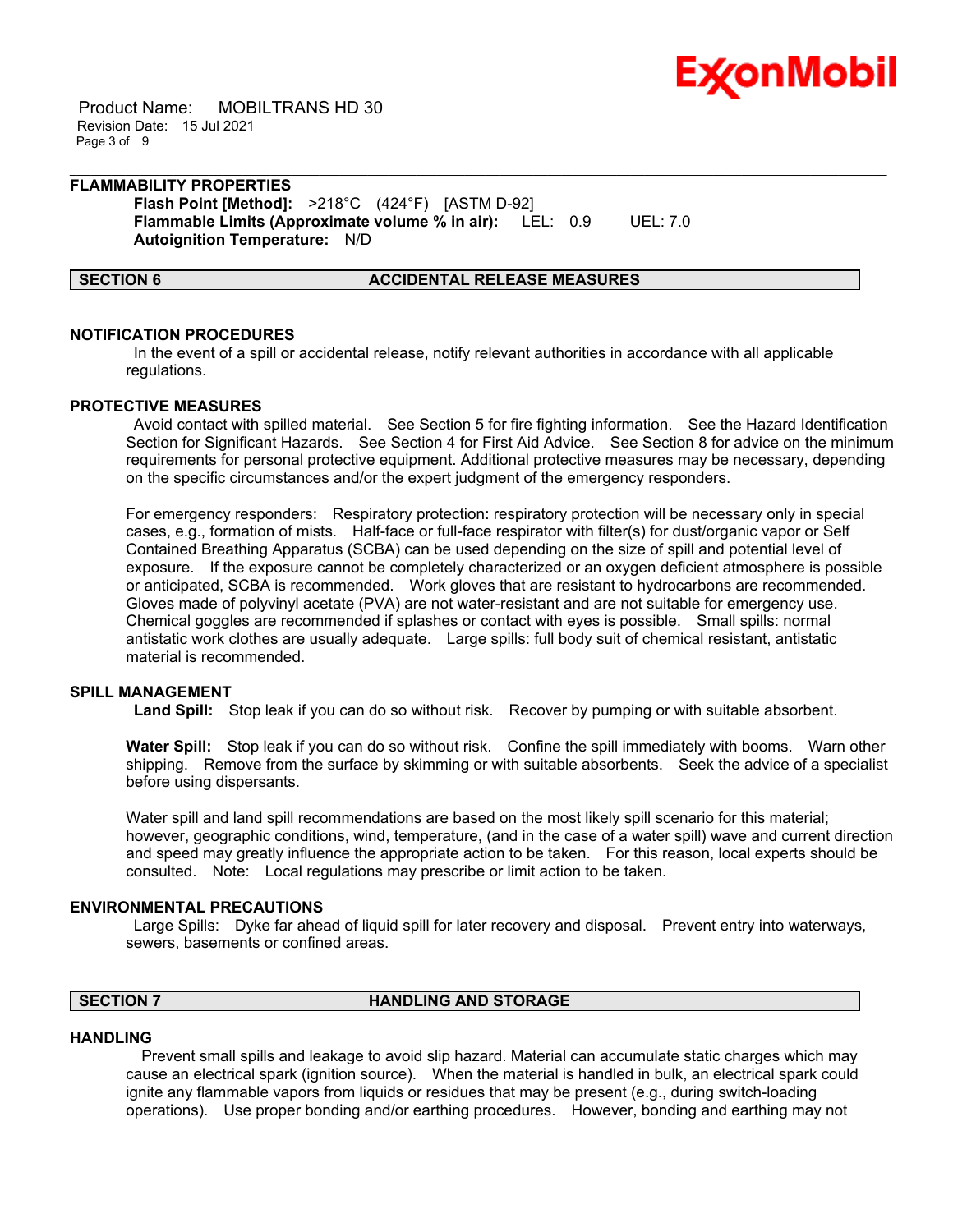

 Product Name: MOBILTRANS HD 30 Revision Date: 15 Jul 2021 Page 3 of 9

# **FLAMMABILITY PROPERTIES Flash Point [Method]:** >218°C (424°F) [ASTM D-92]

**Flammable Limits (Approximate volume % in air):** LEL: 0.9 UEL: 7.0 **Autoignition Temperature:** N/D

### **SECTION 6 ACCIDENTAL RELEASE MEASURES**

### **NOTIFICATION PROCEDURES**

In the event of a spill or accidental release, notify relevant authorities in accordance with all applicable regulations.

\_\_\_\_\_\_\_\_\_\_\_\_\_\_\_\_\_\_\_\_\_\_\_\_\_\_\_\_\_\_\_\_\_\_\_\_\_\_\_\_\_\_\_\_\_\_\_\_\_\_\_\_\_\_\_\_\_\_\_\_\_\_\_\_\_\_\_\_\_\_\_\_\_\_\_\_\_\_\_\_\_\_\_\_\_\_\_\_\_\_\_\_\_\_\_\_\_\_\_\_\_\_\_\_\_\_\_\_\_\_\_\_\_\_\_\_\_\_

#### **PROTECTIVE MEASURES**

Avoid contact with spilled material. See Section 5 for fire fighting information. See the Hazard Identification Section for Significant Hazards. See Section 4 for First Aid Advice. See Section 8 for advice on the minimum requirements for personal protective equipment. Additional protective measures may be necessary, depending on the specific circumstances and/or the expert judgment of the emergency responders.

For emergency responders: Respiratory protection: respiratory protection will be necessary only in special cases, e.g., formation of mists. Half-face or full-face respirator with filter(s) for dust/organic vapor or Self Contained Breathing Apparatus (SCBA) can be used depending on the size of spill and potential level of exposure. If the exposure cannot be completely characterized or an oxygen deficient atmosphere is possible or anticipated, SCBA is recommended. Work gloves that are resistant to hydrocarbons are recommended. Gloves made of polyvinyl acetate (PVA) are not water-resistant and are not suitable for emergency use. Chemical goggles are recommended if splashes or contact with eyes is possible. Small spills: normal antistatic work clothes are usually adequate. Large spills: full body suit of chemical resistant, antistatic material is recommended.

# **SPILL MANAGEMENT**

**Land Spill:** Stop leak if you can do so without risk. Recover by pumping or with suitable absorbent.

**Water Spill:** Stop leak if you can do so without risk. Confine the spill immediately with booms. Warn other shipping. Remove from the surface by skimming or with suitable absorbents. Seek the advice of a specialist before using dispersants.

Water spill and land spill recommendations are based on the most likely spill scenario for this material; however, geographic conditions, wind, temperature, (and in the case of a water spill) wave and current direction and speed may greatly influence the appropriate action to be taken. For this reason, local experts should be consulted. Note: Local regulations may prescribe or limit action to be taken.

#### **ENVIRONMENTAL PRECAUTIONS**

Large Spills: Dyke far ahead of liquid spill for later recovery and disposal. Prevent entry into waterways, sewers, basements or confined areas.

# **SECTION 7 HANDLING AND STORAGE**

#### **HANDLING**

 Prevent small spills and leakage to avoid slip hazard. Material can accumulate static charges which may cause an electrical spark (ignition source). When the material is handled in bulk, an electrical spark could ignite any flammable vapors from liquids or residues that may be present (e.g., during switch-loading operations). Use proper bonding and/or earthing procedures. However, bonding and earthing may not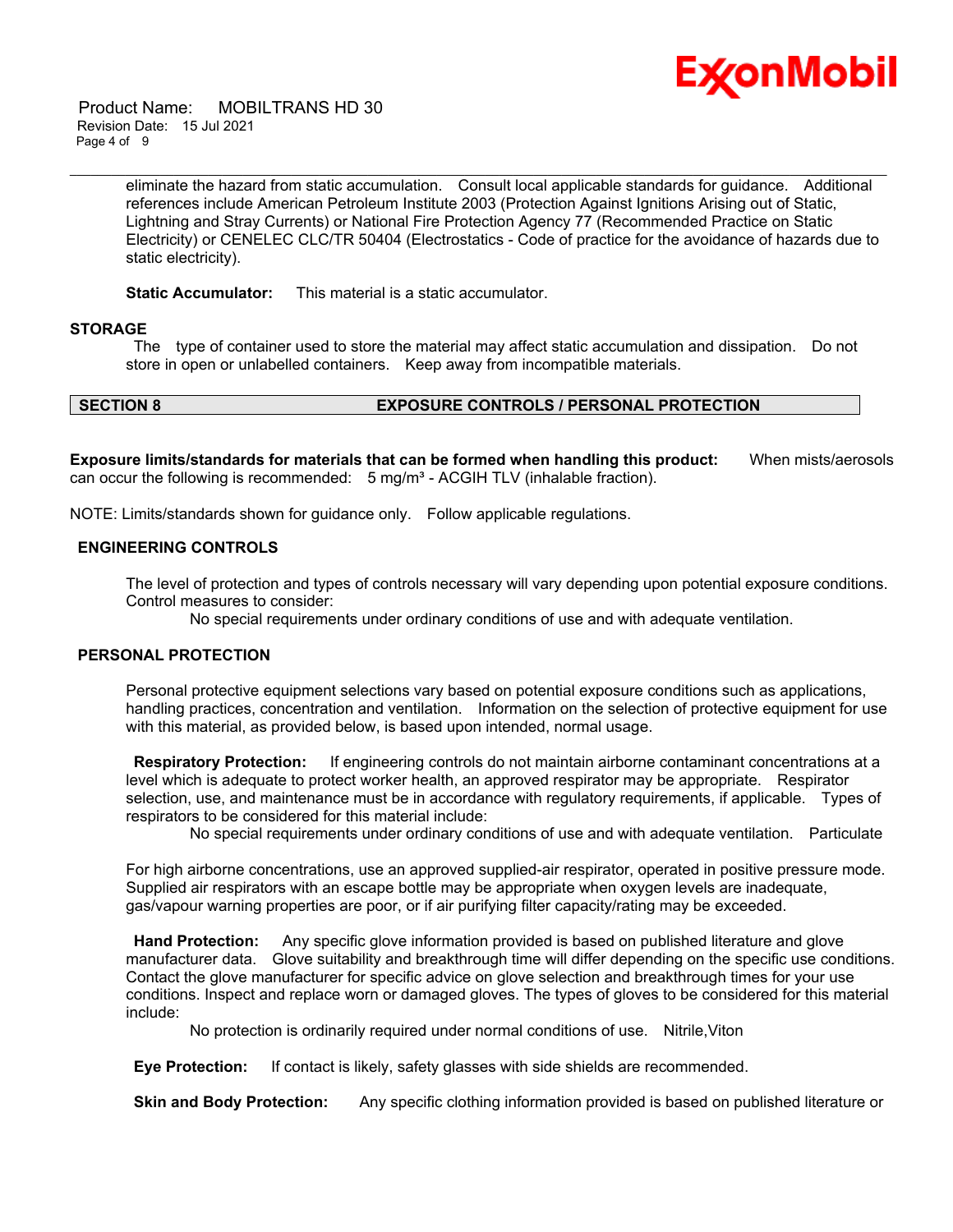

 Product Name: MOBILTRANS HD 30 Revision Date: 15 Jul 2021 Page 4 of 9

> eliminate the hazard from static accumulation. Consult local applicable standards for guidance. Additional references include American Petroleum Institute 2003 (Protection Against Ignitions Arising out of Static, Lightning and Stray Currents) or National Fire Protection Agency 77 (Recommended Practice on Static Electricity) or CENELEC CLC/TR 50404 (Electrostatics - Code of practice for the avoidance of hazards due to static electricity).

\_\_\_\_\_\_\_\_\_\_\_\_\_\_\_\_\_\_\_\_\_\_\_\_\_\_\_\_\_\_\_\_\_\_\_\_\_\_\_\_\_\_\_\_\_\_\_\_\_\_\_\_\_\_\_\_\_\_\_\_\_\_\_\_\_\_\_\_\_\_\_\_\_\_\_\_\_\_\_\_\_\_\_\_\_\_\_\_\_\_\_\_\_\_\_\_\_\_\_\_\_\_\_\_\_\_\_\_\_\_\_\_\_\_\_\_\_\_

**Static Accumulator:** This material is a static accumulator.

### **STORAGE**

The type of container used to store the material may affect static accumulation and dissipation. Do not store in open or unlabelled containers. Keep away from incompatible materials.

# **SECTION 8 EXPOSURE CONTROLS / PERSONAL PROTECTION**

**Exposure limits/standards for materials that can be formed when handling this product:** When mists/aerosols can occur the following is recommended:  $5 \text{ mg/m}^3$  - ACGIH TLV (inhalable fraction).

NOTE: Limits/standards shown for guidance only. Follow applicable regulations.

# **ENGINEERING CONTROLS**

The level of protection and types of controls necessary will vary depending upon potential exposure conditions. Control measures to consider:

No special requirements under ordinary conditions of use and with adequate ventilation.

#### **PERSONAL PROTECTION**

Personal protective equipment selections vary based on potential exposure conditions such as applications, handling practices, concentration and ventilation. Information on the selection of protective equipment for use with this material, as provided below, is based upon intended, normal usage.

**Respiratory Protection:** If engineering controls do not maintain airborne contaminant concentrations at a level which is adequate to protect worker health, an approved respirator may be appropriate. Respirator selection, use, and maintenance must be in accordance with regulatory requirements, if applicable. Types of respirators to be considered for this material include:

No special requirements under ordinary conditions of use and with adequate ventilation. Particulate

For high airborne concentrations, use an approved supplied-air respirator, operated in positive pressure mode. Supplied air respirators with an escape bottle may be appropriate when oxygen levels are inadequate, gas/vapour warning properties are poor, or if air purifying filter capacity/rating may be exceeded.

**Hand Protection:** Any specific glove information provided is based on published literature and glove manufacturer data. Glove suitability and breakthrough time will differ depending on the specific use conditions. Contact the glove manufacturer for specific advice on glove selection and breakthrough times for your use conditions. Inspect and replace worn or damaged gloves. The types of gloves to be considered for this material include:

No protection is ordinarily required under normal conditions of use. Nitrile,Viton

**Eye Protection:** If contact is likely, safety glasses with side shields are recommended.

**Skin and Body Protection:** Any specific clothing information provided is based on published literature or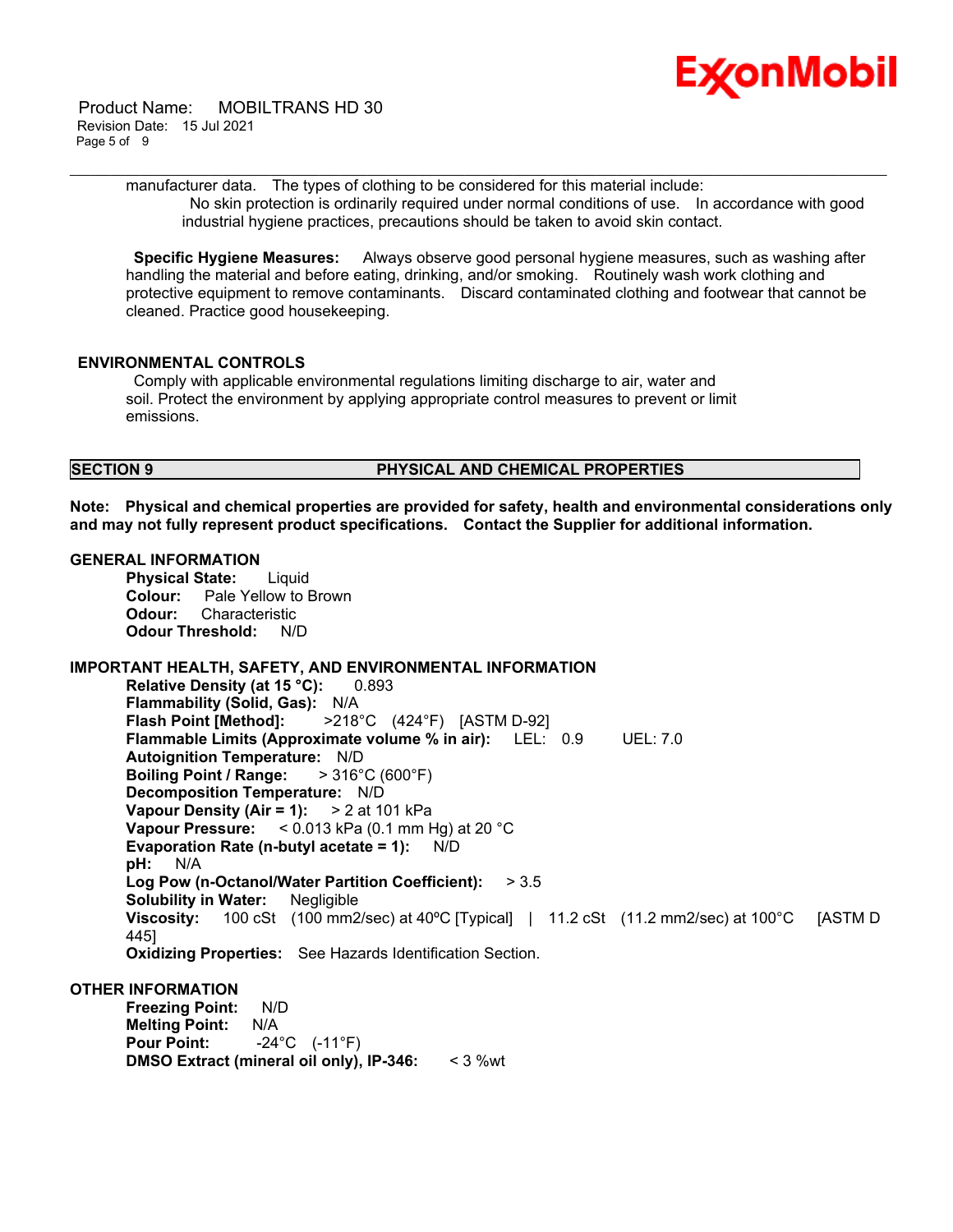

 Product Name: MOBILTRANS HD 30 Revision Date: 15 Jul 2021 Page 5 of 9

\_\_\_\_\_\_\_\_\_\_\_\_\_\_\_\_\_\_\_\_\_\_\_\_\_\_\_\_\_\_\_\_\_\_\_\_\_\_\_\_\_\_\_\_\_\_\_\_\_\_\_\_\_\_\_\_\_\_\_\_\_\_\_\_\_\_\_\_\_\_\_\_\_\_\_\_\_\_\_\_\_\_\_\_\_\_\_\_\_\_\_\_\_\_\_\_\_\_\_\_\_\_\_\_\_\_\_\_\_\_\_\_\_\_\_\_\_\_ manufacturer data. The types of clothing to be considered for this material include: No skin protection is ordinarily required under normal conditions of use. In accordance with good industrial hygiene practices, precautions should be taken to avoid skin contact.

**Specific Hygiene Measures:** Always observe good personal hygiene measures, such as washing after handling the material and before eating, drinking, and/or smoking. Routinely wash work clothing and protective equipment to remove contaminants. Discard contaminated clothing and footwear that cannot be cleaned. Practice good housekeeping.

### **ENVIRONMENTAL CONTROLS**

Comply with applicable environmental regulations limiting discharge to air, water and soil. Protect the environment by applying appropriate control measures to prevent or limit emissions.

### **SECTION 9 PHYSICAL AND CHEMICAL PROPERTIES**

**Note: Physical and chemical properties are provided for safety, health and environmental considerations only and may not fully represent product specifications. Contact the Supplier for additional information.**

#### **GENERAL INFORMATION**

**Physical State:** Liquid **Colour:** Pale Yellow to Brown **Odour:** Characteristic **Odour Threshold:** N/D

# **IMPORTANT HEALTH, SAFETY, AND ENVIRONMENTAL INFORMATION**

**Relative Density (at 15 °C):** 0.893 **Flammability (Solid, Gas):** N/A **Flash Point [Method]:** >218°C (424°F) [ASTM D-92] **Flammable Limits (Approximate volume % in air):** LEL: 0.9 UEL: 7.0 **Autoignition Temperature:** N/D **Boiling Point / Range:** > 316°C (600°F) **Decomposition Temperature:** N/D **Vapour Density (Air = 1):** > 2 at 101 kPa **Vapour Pressure:** < 0.013 kPa (0.1 mm Hg) at 20 °C **Evaporation Rate (n-butyl acetate = 1):** N/D **pH:** N/A **Log Pow (n-Octanol/Water Partition Coefficient):** > 3.5 **Solubility in Water:** Negligible **Viscosity:** 100 cSt (100 mm2/sec) at 40ºC [Typical] | 11.2 cSt (11.2 mm2/sec) at 100°C [ASTM D 445] **Oxidizing Properties:** See Hazards Identification Section.

**OTHER INFORMATION**

**Freezing Point:** N/D **Melting Point:** N/A **Pour Point:** -24°C (-11°F) **DMSO Extract (mineral oil only), IP-346:** < 3 %wt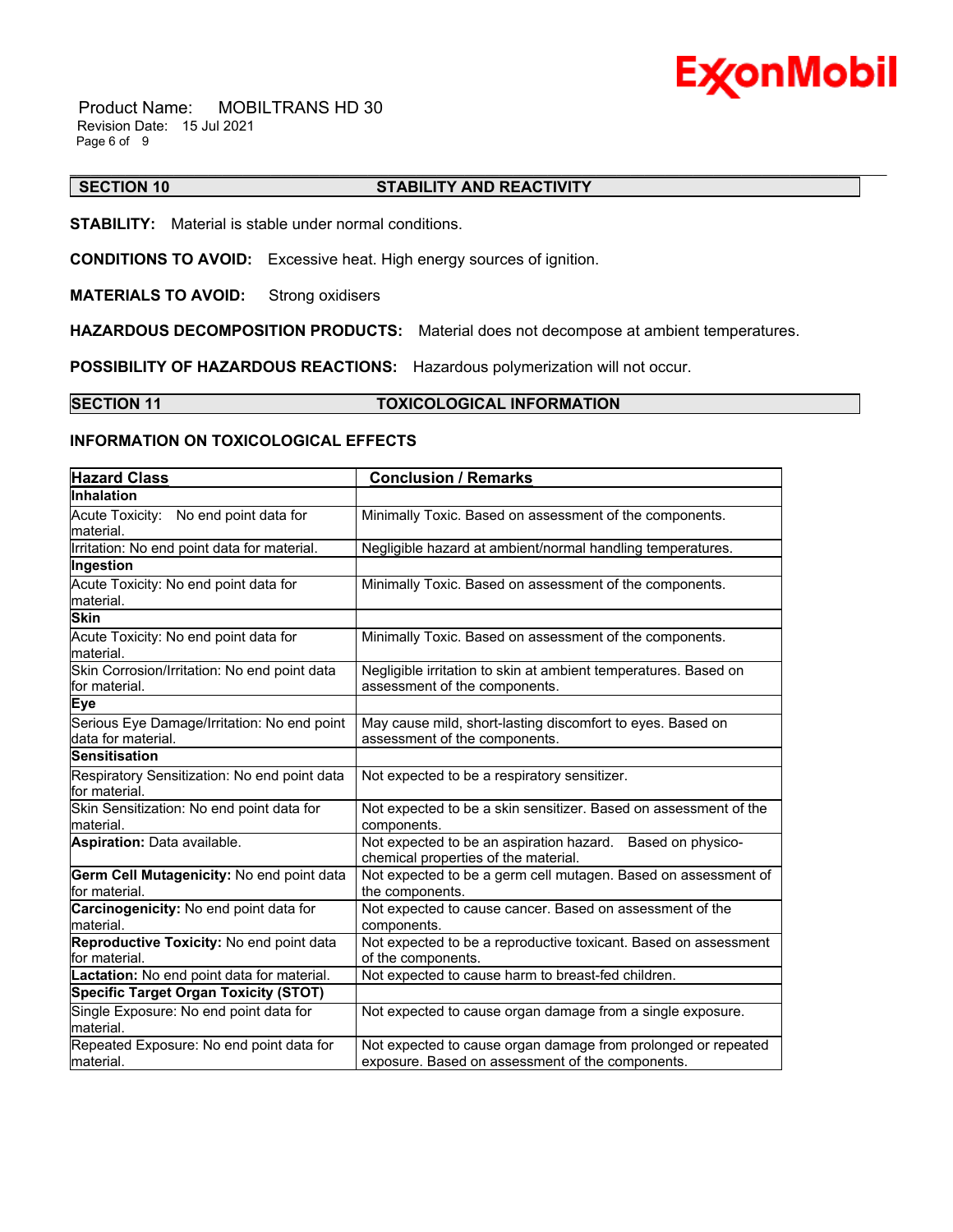

 Product Name: MOBILTRANS HD 30 Revision Date: 15 Jul 2021 Page 6 of 9

#### \_\_\_\_\_\_\_\_\_\_\_\_\_\_\_\_\_\_\_\_\_\_\_\_\_\_\_\_\_\_\_\_\_\_\_\_\_\_\_\_\_\_\_\_\_\_\_\_\_\_\_\_\_\_\_\_\_\_\_\_\_\_\_\_\_\_\_\_\_\_\_\_\_\_\_\_\_\_\_\_\_\_\_\_\_\_\_\_\_\_\_\_\_\_\_\_\_\_\_\_\_\_\_\_\_\_\_\_\_\_\_\_\_\_\_\_\_\_ **SECTION 10 STABILITY AND REACTIVITY**

**STABILITY:** Material is stable under normal conditions.

**CONDITIONS TO AVOID:** Excessive heat. High energy sources of ignition.

**MATERIALS TO AVOID:** Strong oxidisers

**HAZARDOUS DECOMPOSITION PRODUCTS:** Material does not decompose at ambient temperatures.

**POSSIBILITY OF HAZARDOUS REACTIONS:** Hazardous polymerization will not occur.

### **SECTION 11 TOXICOLOGICAL INFORMATION**

### **INFORMATION ON TOXICOLOGICAL EFFECTS**

| <b>Hazard Class</b>                                               | <b>Conclusion / Remarks</b>                                                                                       |  |  |
|-------------------------------------------------------------------|-------------------------------------------------------------------------------------------------------------------|--|--|
| <b>Inhalation</b>                                                 |                                                                                                                   |  |  |
| Acute Toxicity: No end point data for<br>material.                | Minimally Toxic. Based on assessment of the components.                                                           |  |  |
| Irritation: No end point data for material.                       | Negligible hazard at ambient/normal handling temperatures.                                                        |  |  |
| Ingestion                                                         |                                                                                                                   |  |  |
| Acute Toxicity: No end point data for<br>material.                | Minimally Toxic. Based on assessment of the components.                                                           |  |  |
| <b>Skin</b>                                                       |                                                                                                                   |  |  |
| Acute Toxicity: No end point data for<br>material.                | Minimally Toxic. Based on assessment of the components.                                                           |  |  |
| Skin Corrosion/Irritation: No end point data<br>for material.     | Negligible irritation to skin at ambient temperatures. Based on<br>assessment of the components.                  |  |  |
| <b>Eye</b>                                                        |                                                                                                                   |  |  |
| Serious Eye Damage/Irritation: No end point<br>data for material. | May cause mild, short-lasting discomfort to eyes. Based on<br>assessment of the components.                       |  |  |
| <b>Sensitisation</b>                                              |                                                                                                                   |  |  |
| Respiratory Sensitization: No end point data<br>for material.     | Not expected to be a respiratory sensitizer.                                                                      |  |  |
| Skin Sensitization: No end point data for<br>material.            | Not expected to be a skin sensitizer. Based on assessment of the<br>components.                                   |  |  |
| Aspiration: Data available.                                       | Not expected to be an aspiration hazard. Based on physico-<br>chemical properties of the material.                |  |  |
| Germ Cell Mutagenicity: No end point data<br>for material.        | Not expected to be a germ cell mutagen. Based on assessment of<br>the components.                                 |  |  |
| Carcinogenicity: No end point data for<br>material.               | Not expected to cause cancer. Based on assessment of the<br>components.                                           |  |  |
| Reproductive Toxicity: No end point data<br>for material.         | Not expected to be a reproductive toxicant. Based on assessment<br>of the components.                             |  |  |
| Lactation: No end point data for material.                        | Not expected to cause harm to breast-fed children.                                                                |  |  |
| <b>Specific Target Organ Toxicity (STOT)</b>                      |                                                                                                                   |  |  |
| Single Exposure: No end point data for<br>material.               | Not expected to cause organ damage from a single exposure.                                                        |  |  |
| Repeated Exposure: No end point data for<br>lmaterial.            | Not expected to cause organ damage from prolonged or repeated<br>exposure. Based on assessment of the components. |  |  |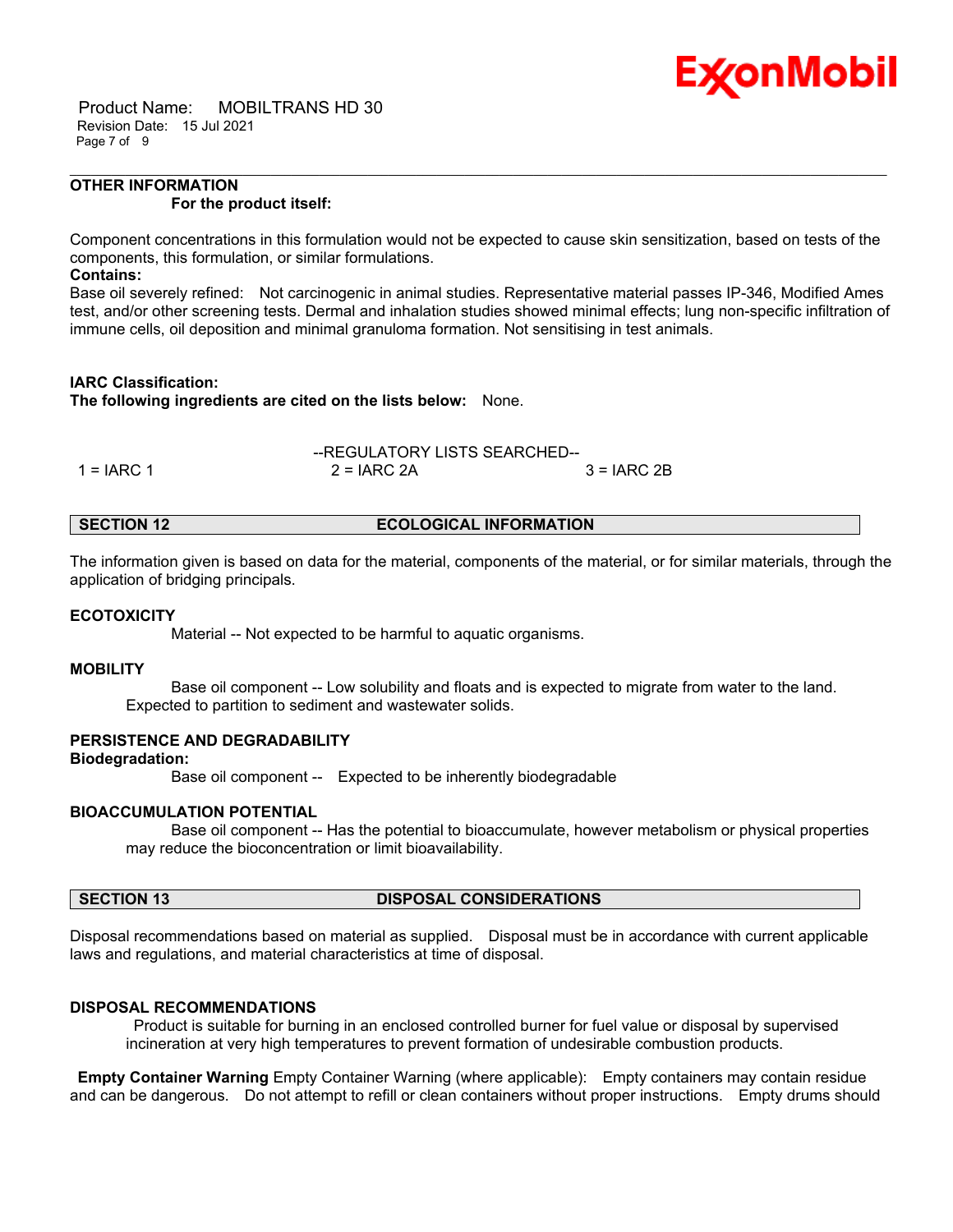

 Product Name: MOBILTRANS HD 30 Revision Date: 15 Jul 2021 Page 7 of 9

#### **OTHER INFORMATION For the product itself:**

Component concentrations in this formulation would not be expected to cause skin sensitization, based on tests of the components, this formulation, or similar formulations.

\_\_\_\_\_\_\_\_\_\_\_\_\_\_\_\_\_\_\_\_\_\_\_\_\_\_\_\_\_\_\_\_\_\_\_\_\_\_\_\_\_\_\_\_\_\_\_\_\_\_\_\_\_\_\_\_\_\_\_\_\_\_\_\_\_\_\_\_\_\_\_\_\_\_\_\_\_\_\_\_\_\_\_\_\_\_\_\_\_\_\_\_\_\_\_\_\_\_\_\_\_\_\_\_\_\_\_\_\_\_\_\_\_\_\_\_\_\_

### **Contains:**

Base oil severely refined: Not carcinogenic in animal studies. Representative material passes IP-346, Modified Ames test, and/or other screening tests. Dermal and inhalation studies showed minimal effects; lung non-specific infiltration of immune cells, oil deposition and minimal granuloma formation. Not sensitising in test animals.

### **IARC Classification:**

**The following ingredients are cited on the lists below:** None.

$$
-REGULATIONY LISTS SEARCHED-1 = IARC 1
$$
 2 = IARC 2A 3 = IARC 2B

#### **SECTION 12 ECOLOGICAL INFORMATION**

The information given is based on data for the material, components of the material, or for similar materials, through the application of bridging principals.

#### **ECOTOXICITY**

Material -- Not expected to be harmful to aquatic organisms.

#### **MOBILITY**

 Base oil component -- Low solubility and floats and is expected to migrate from water to the land. Expected to partition to sediment and wastewater solids.

### **PERSISTENCE AND DEGRADABILITY**

**Biodegradation:**

Base oil component -- Expected to be inherently biodegradable

### **BIOACCUMULATION POTENTIAL**

 Base oil component -- Has the potential to bioaccumulate, however metabolism or physical properties may reduce the bioconcentration or limit bioavailability.

# **SECTION 13 DISPOSAL CONSIDERATIONS**

Disposal recommendations based on material as supplied. Disposal must be in accordance with current applicable laws and regulations, and material characteristics at time of disposal.

### **DISPOSAL RECOMMENDATIONS**

Product is suitable for burning in an enclosed controlled burner for fuel value or disposal by supervised incineration at very high temperatures to prevent formation of undesirable combustion products.

**Empty Container Warning** Empty Container Warning (where applicable): Empty containers may contain residue and can be dangerous. Do not attempt to refill or clean containers without proper instructions. Empty drums should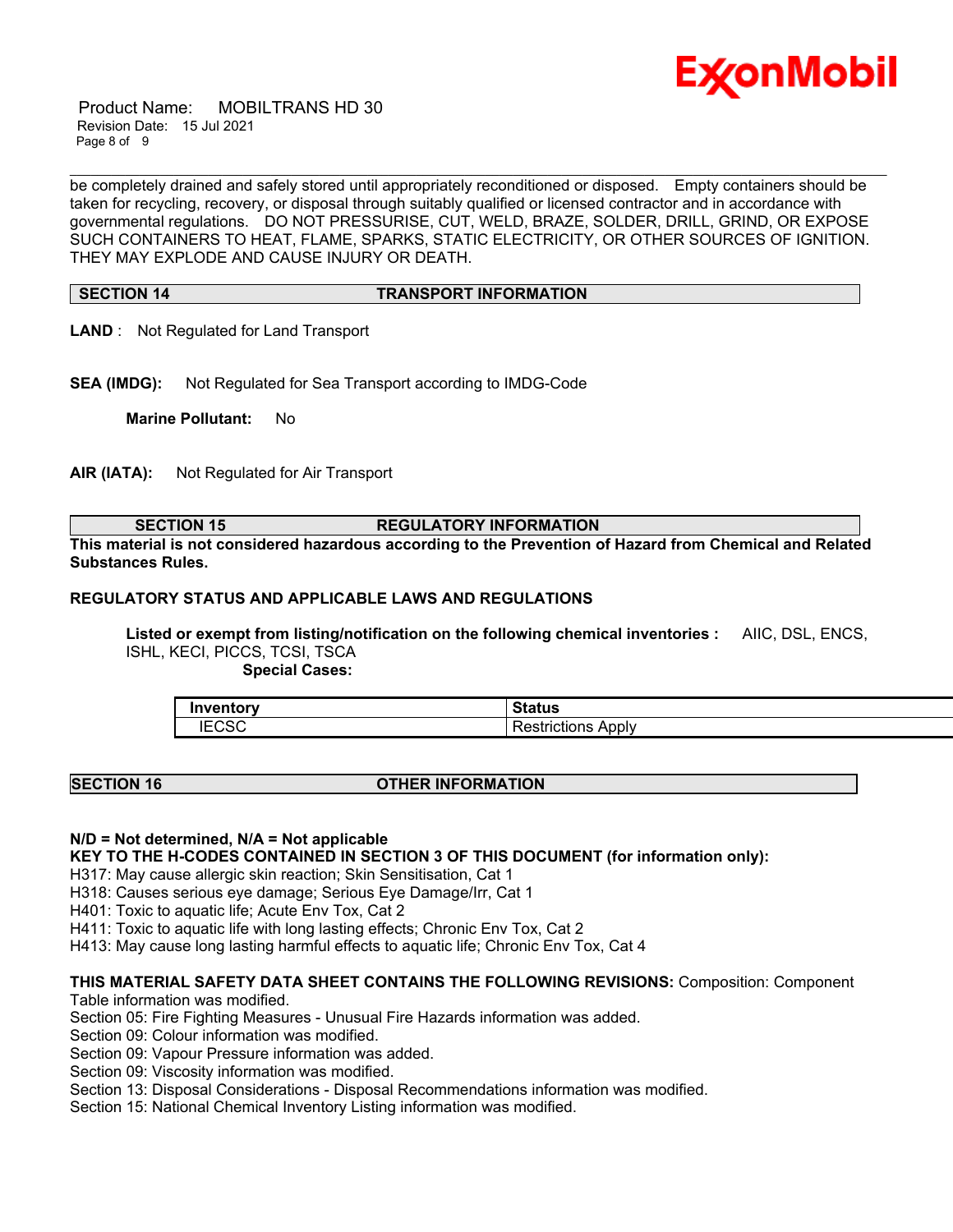

 Product Name: MOBILTRANS HD 30 Revision Date: 15 Jul 2021 Page 8 of 9

be completely drained and safely stored until appropriately reconditioned or disposed. Empty containers should be taken for recycling, recovery, or disposal through suitably qualified or licensed contractor and in accordance with governmental regulations. DO NOT PRESSURISE, CUT, WELD, BRAZE, SOLDER, DRILL, GRIND, OR EXPOSE SUCH CONTAINERS TO HEAT, FLAME, SPARKS, STATIC ELECTRICITY, OR OTHER SOURCES OF IGNITION. THEY MAY EXPLODE AND CAUSE INJURY OR DEATH.

\_\_\_\_\_\_\_\_\_\_\_\_\_\_\_\_\_\_\_\_\_\_\_\_\_\_\_\_\_\_\_\_\_\_\_\_\_\_\_\_\_\_\_\_\_\_\_\_\_\_\_\_\_\_\_\_\_\_\_\_\_\_\_\_\_\_\_\_\_\_\_\_\_\_\_\_\_\_\_\_\_\_\_\_\_\_\_\_\_\_\_\_\_\_\_\_\_\_\_\_\_\_\_\_\_\_\_\_\_\_\_\_\_\_\_\_\_\_

#### **SECTION 14 TRANSPORT INFORMATION**

- **LAND** : Not Regulated for Land Transport
- **SEA (IMDG):** Not Regulated for Sea Transport according to IMDG-Code

**Marine Pollutant:** No

**AIR (IATA):** Not Regulated for Air Transport

#### **SECTION 15 REGULATORY INFORMATION**

**This material is not considered hazardous according to the Prevention of Hazard from Chemical and Related Substances Rules.**

# **REGULATORY STATUS AND APPLICABLE LAWS AND REGULATIONS**

**Listed or exempt from listing/notification on the following chemical inventories :** AIIC, DSL, ENCS, ISHL, KECI, PICCS, TCSI, TSCA

 **Special Cases:**

| Inventorv                       | $\sim$ $\sim$ $\sim$ $\sim$ $\sim$<br>วเสเนร |
|---------------------------------|----------------------------------------------|
| $\Gamma$ $\cap$ $\cap$<br>יט ∟. | . .<br>Apply<br>≺estrictions                 |

#### **SECTION 16 OTHER INFORMATION**

### **N/D = Not determined, N/A = Not applicable**

**KEY TO THE H-CODES CONTAINED IN SECTION 3 OF THIS DOCUMENT (for information only):**

H317: May cause allergic skin reaction; Skin Sensitisation, Cat 1

H318: Causes serious eye damage; Serious Eye Damage/Irr, Cat 1

H401: Toxic to aquatic life; Acute Env Tox, Cat 2

H411: Toxic to aquatic life with long lasting effects; Chronic Env Tox, Cat 2

H413: May cause long lasting harmful effects to aquatic life; Chronic Env Tox, Cat 4

### **THIS MATERIAL SAFETY DATA SHEET CONTAINS THE FOLLOWING REVISIONS:** Composition: Component

Table information was modified.

Section 05: Fire Fighting Measures - Unusual Fire Hazards information was added.

Section 09: Colour information was modified.

Section 09: Vapour Pressure information was added.

Section 09: Viscosity information was modified.

Section 13: Disposal Considerations - Disposal Recommendations information was modified.

Section 15: National Chemical Inventory Listing information was modified.